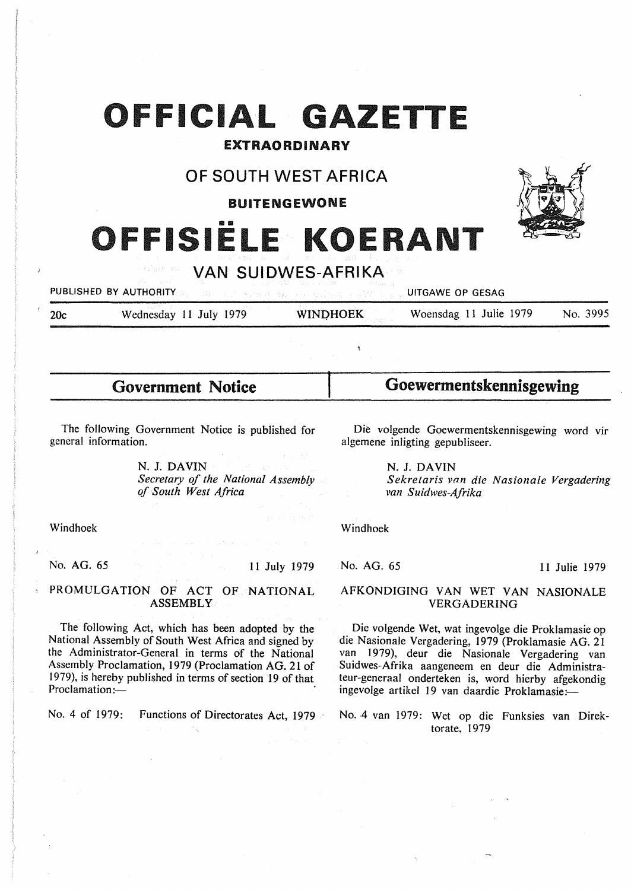## **OFFICIAL GAZETTE**

## EXTRAORDINARY

## **OF SOUTH WEST AFRICA**

BUITENGEWONE

# **ISIËLE KOERAN**



**VAN SUIDWES-AFRIKA** 

**PUBLISHED BY AUTHORITY III. A BEEN SERVED BY AUTHORITY III.** UITGAWE OP GESAG

20c Wednesday 11 July 1979 **WINPHOEK** Woensdag 11 Julie 1979 No. 3995

**Government Notice** 

**Goewermentskennisgewing** 

The following Government Notice is published for general information.

> N. J. **DAVIN**  *Secretary of the National Assembly of South West Africa*

Die volgende Goewermentskennisgewing word vir algemene inligting gepubliseer.

**N. J. DAVIN** 

*Sekretaris vnn die Nasionale Vergadering van Suidwes-Afrika* 

Windhoek

No. AG. 65

11 July 1979

PROMULGATION OF ACT OF NATIONAL ASSEMBLY

The following Act, which has been adopted by the National Assembly of South West Africa and signed by the Administrator-General in terms of the National Assembly Proclamation, 1979 (Proclamation AG. 21 of 1979), is hereby published in terms of section 19 of that Proclamation:-

No. 4 of 1979: Functions of Directorates Act, 1979

Windhoek

No. AG. 65 11 Julie 1979

## AFKONDIGING VAN WET VAN NASIONALE VERGADERING

Die volgende Wet, wat ingevolge die Proklamasie op die Nasionale Vergadering, 1979 (Proklamasie AG. 21 van 1979), deur die Nasionale Vergadering van Suidwes-Afrika aangeneem en deur die Administrateur-generaal onderteken is, word hierby afgekondig ingevolge artikel 19 van daardie Proklamasie:-

No. 4 van 1979: Wet op die Funksies van Direktorate, 1979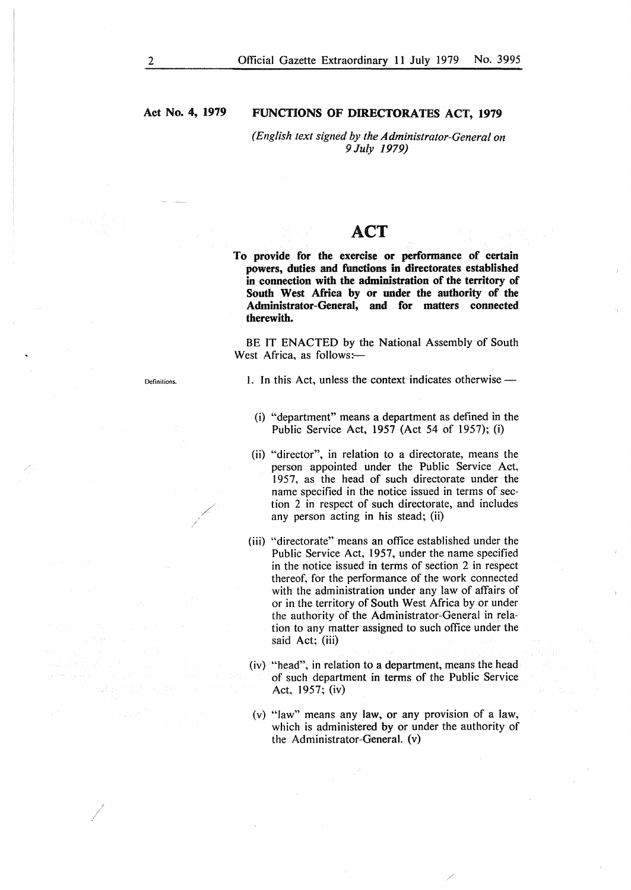## **Act No. 4, 1979**

### **FUNCTIONS OF DIRECTORATES ACT, 1979**

*(English text signed by the Administrator-General on 9July 1979)* 

## ACT

**To provide for the exercise or performance of certain powers, duties and functions in directorates established in connection with the administration of the territory of South West Africa by or under the authority of the Administrator-General, and for matters connected therewith.** 

BE IT ENACTED by the National Assembly of South West Africa, as follows:-

Definitions.

1. In this Act, unless the context indicates otherwise -

- (i) "department" means a department as defined in the Public Service Act, 1957 (Act 54 of 1957); (i)
- (ii) "director", in relation to a directorate, means the person appointed under the Public Service Act, 1957, as the head of such directorate under the name specified in the notice issued in terms of section 2 in respect of such directorate, and includes any person acting in his stead; (ii)
- (iii) "directorate" means an office established under the Public Service Act, 1957, under the name specified in the notice issued in terms of section 2 in respect thereof, for the performance of the work connected with the administration under any law of affairs of or in the territory of South West Africa by or under the authority of the Administrator-General in relation to any matter assigned to such office under the said Act; (iii)
- (iv) "head''. in relation to a department, means the head of such department in terms of the Public Service Act, 1957; (iv)
- (v) "law" means any law, or any provision of a law, which is administered by or under the authority of the Administrator-General. (v)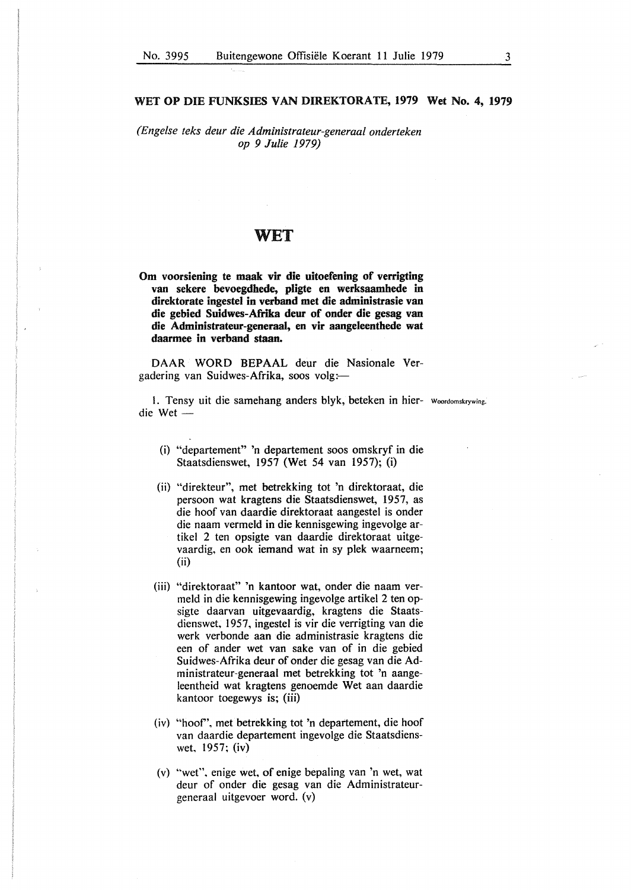#### **WET OP DIE FUNKSIES VAN DIREKTORATE, 1979 Wet No. 4, 1979**

*(Engelse teks deur die Administrateur-generaal onderteken op 9 Julie 1979)* 

## WET

**Om voorsiening te maak vir die uitoefening of verrigting van sekere bevoegdhede, pligte en werksaamhede in direktorate ingestel in verband met die administrasie van die gebied Suidwes-Afrika deur of onder die gesag van die Administrateur-generaal, en vir aangeleenthede wat daarmee in verband staan.** 

DAAR WORD BEPAAL deur die Nasionale Vergadering van Suidwes-Afrika, soos volg:-

1. Tensy uit die samehang anders blyk, beteken in hier- Woordomskrywing.  $die$  Wet  $-$ 

- (i) "departement" 'n departement soos omskryf in die Staatsdienswet, 1957 (Wet 54 van 1957); (i)
- (ii) "direkteur", met betrekking tot 'n direktoraat, die persoon wat kragtens die Staatsdienswet, 1957, as die hoof van daardie direktoraat aangestel is onder die naam vermeld in die kennisgewing ingevolge artikel 2 ten opsigte van daardie direktoraat uitgevaardig, en ook iemand wat in sy plek waarneem; (ii)
- (iii) "direktoraat" 'n kantoor wat, onder die naam vermeld in die kennisgewing ingevolge artikel 2 ten opsigte daarvan uitgevaardig, kragtens die Staatsdienswet, 1957, ingestel is vir die verrigting van die werk verbonde aan die administrasie kragtens die een of ander wet van sake van of in die gebied Suidwes-Afrika deur of onder die gesag van die Administrateur-generaal met betrekking tot 'n aangeleentheid wat kragtens genoemde Wet aan daardie kantoor toegewys is; (iii)
- (iv) "hoof', met betrekking tot 'n departement, die hoof van daardie departement ingevolge die Staatsdienswet, 1957; (iv)
- (v) "wet", enige wet, of enige bepaling van 'n wet, wat deur of onder die gesag van die Administrateurgeneraal uitgevoer word. (v)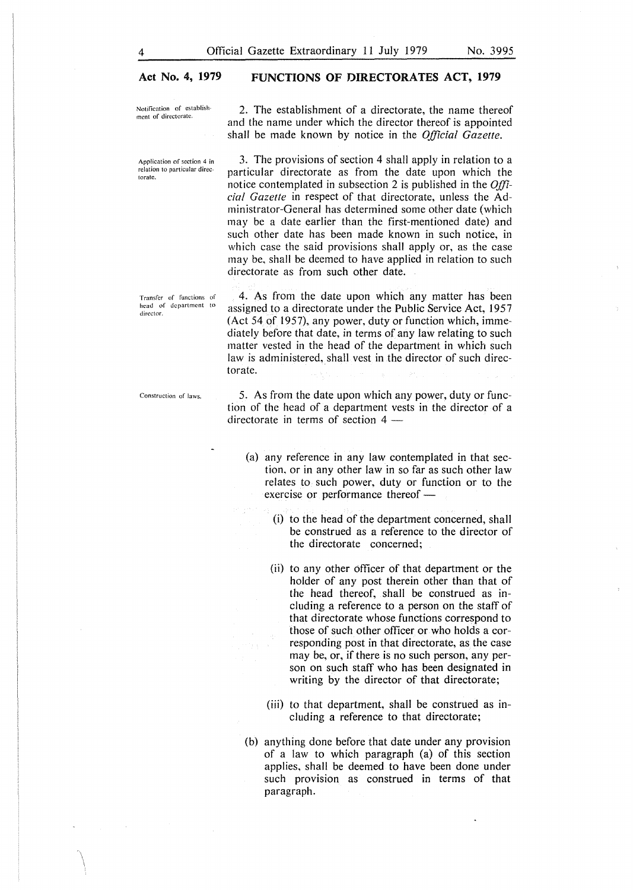#### **Act No. 4, 1979 FUNCTIONS OF DIRECTORATES ACT, 1979**

Notification of establish ment of directorate.

2. The establishment of a directorate, the name thereof and the name under which the director thereof is appointed shall be made known by notice in the *Official Gazette.* 

Application of section 4 in relation to particular directorate.

Transfer of functions of head of department to director.

Construction of laws.

3. The provisions of section 4 shall apply in relation to a particular directorate as from the date upon which the notice contemplated in subsection 2 is published in the *Official Gazette* in respect of that directorate, unless the Administrator-General has determined some other date (which may be a date earlier than the first-mentioned date) and such other date has been made known in such notice, in which case the said provisions shall apply or, as the case may be, shall be deemed to have applied in relation to such directorate as from such other date.

4. As from the date upon which any matter has been assigned to a directorate under the Public Service Act, 1957 (Act 54 of 1957), any power, duty or function which, immediately before that date, in terms of any law relating to such matter vested in the head of the department in which such law is administered, shall vest in the director of such directorate.

5. As from the date upon which any power, duty or function of the head of a department vests in the director of a directorate in terms of section  $4 -$ 

- (a) any reference in any law contemplated in that section, or in any other law in so far as such other law relates to such power, duty or function or to the exercise or performance thereof -
	- (i) to the head of the department concerned, shall be construed as a reference to the director of the directorate concerned;
	- (ii) to any other officer of that department or the holder of any post therein other than that of the head thereof, shall be construed as including a reference to a person on the staff of that directorate whose functions correspond to those of such other officer or who holds a corresponding post in that directorate, as the case may be, or, if there is no such person, any person on such staff who has been designated in writing by the director of that directorate;
	- (iii) to that department, shall be construed as including a reference to that directorate;
- (b) anything done before that date under any provision of a law to which paragraph (a) of this section applies, shall be deemed to have been done under such provision as construed in terms of that paragraph.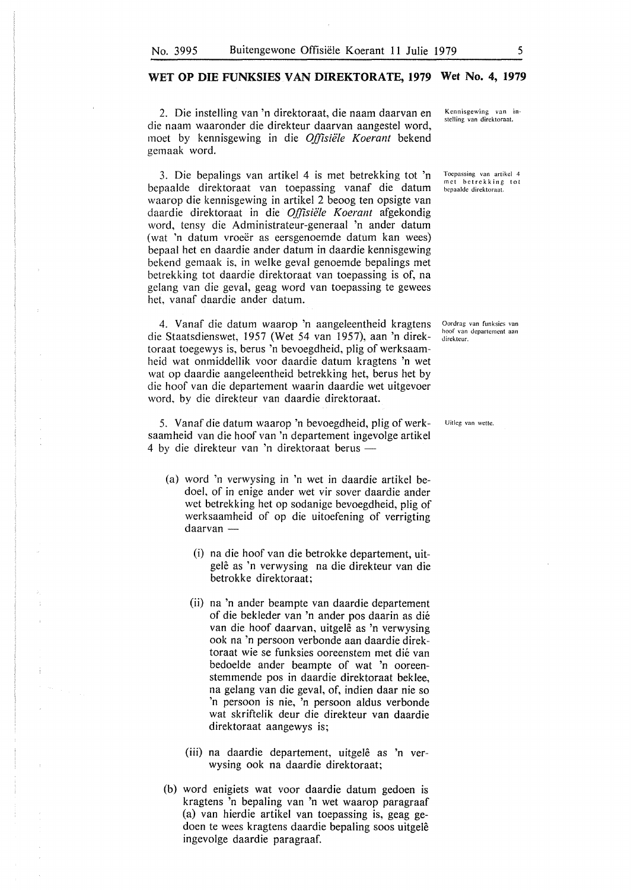#### **WET OP DIE FUNKSIES VAN DIREKTORATE, 1979 Wet No. 4, 1979**

2. Die instelling van 'n direktoraat, die naam daarvan en die naam waaronder die direkteur daarvan aangestel word, moet by kennisgewing in die Offisiële Koerant bekend gemaak word.

3. Die bepalings van artikel 4 is met betrekking tot 'n bepaalde direktoraat van toepassing vanaf die datum waarop die kennisgewing in artikel 2 beoog ten opsigte van daardie direktoraat in die *O.ffisiele Koerant* afgekondig word, tensy die Administrateur-generaal 'n ander datum (wat 'n datum vroeër as eersgenoemde datum kan wees) bepaal het en daardie ander datum in daardie kennisgewing bekend gemaak is, in welke geval genoemde bepalings met betrekking tot daardie direktoraat van toepassing is of, na gelang van die geval, geag word van toepassing te gewees het, vanaf daardie ander datum.

4. Vanaf die datum waarop 'n aangeleentheid kragtens die Staatsdienswet, 1957 (Wet 54 van 1957), aan 'n direktoraat toegewys is, berus 'n bevoegdheid, plig of werksaamheid wat onmiddellik voor daardie datum kragtens 'n wet wat op daardie aangeleentheid betrekking het, berus het by die hoof van die departement waarin daardie wet uitgevoer word, by die direkteur van daardie direktoraat.

5. Vanaf die datum waarop 'n bevoegdheid, plig of werksaamheid van die hoof van 'n departement ingevolge artikel 4 by die direkteur van 'n direktoraat berus -

- (a) word 'n verwysing in 'n wet in daardie artikel bedoel, of in enige ander wet vir sover daardie ander wet betrekking het op sodanige bevoegdheid, plig of werksaamheid of op die uitoefening of verrigting daarvan -
	- (i) na die hoof van die betrokke departement, uitgelê as 'n verwysing na die direkteur van die betrokke direktoraat;
	- (ii) na 'n ander beampte van daardie departement of die bekleder van 'n ander pos daarin as die van die hoof daarvan, uitgelê as 'n verwysing ook na 'n persoon verbonde aan daardie direktoraat wie se funksies ooreenstem met die van bedoelde ander beampte of wat 'n ooreenstemmende pos in daardie direktoraat beklee, na gelang van die geval, of, indien daar nie so 'n persoon is nie, 'n persoon aldus verbonde wat skriftelik deur die direkteur van daardie direktoraat aangewys is;
	- (iii) na daardie departement, uitgelê as 'n verwysing ook na daardie direktoraat;
- (b) word enigiets wat voor daardie datum gedoen is kragtens 'n bepaling van 'n wet waarop paragraaf (a) van hierdie artikel van toepassing is, geag gedoen te wees kragtens daardie bepaling soos uitgele ingevolge daardie paragraaf.

Kcnnisgewing van instclling van dircktoraat.

Toepassing van artikcl 4 met betrekking tot bepaaldc dircktoraat.

Oordrag van funksics van hoof van dcpartcmcnt aan direkteur.

Uitleg van wette.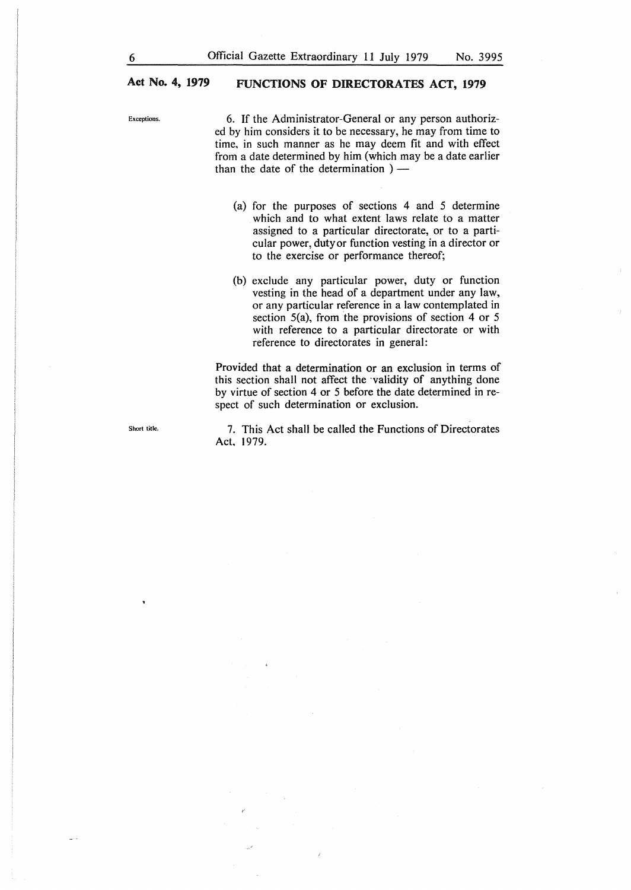## **Act No. 4, 1979 FUNCTIONS OF DIRECTORATES ACT, 1979**

Exceptions. 6. If the Administrator-General or any person authorized by him considers it to be necessary, he may from time to time, in such manner as he may deem fit and with effect from a date determined by him (which may be a date earlier than the date of the determination  $)$  —

- (a) for the purposes of sections 4 and 5 determine which and to what extent laws relate to a matter assigned to a particular directorate, or to a particular power, duty or function vesting in a director or to the exercise or performance thereof;
- (b) exclude any particular power, duty or function vesting in the head of a department under any law, or any particular reference in a law contemplated in section 5(a), from the provisions of section 4 or 5 with reference to a particular directorate or with reference to directorates in general:

Provided that a determination or an exclusion in terms of this section shall not affect the ·validity of anything done by virtue of section 4 or 5 before the date determined in respect of such determination or exclusion.

Short title.

7. This Act shall be called the Functions of Directorates Act, 1979.